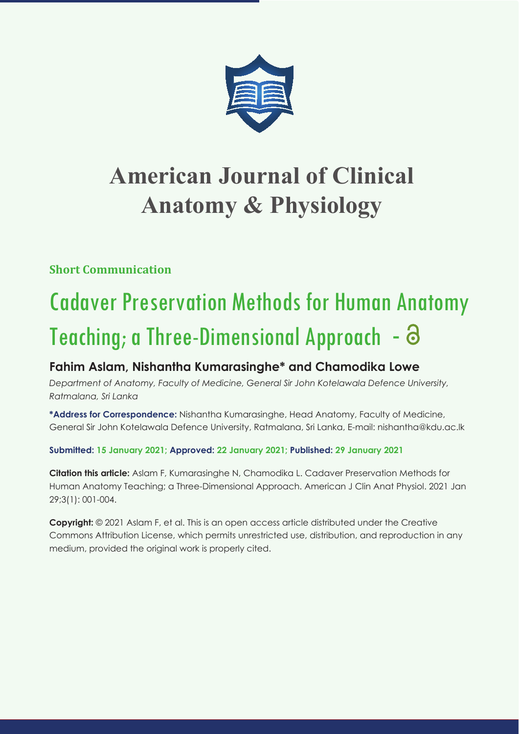

## **American Journal of Clinical Anatomy & Physiology**

**Short Communication**

# Cadaver Preservation Methods for Human Anatomy Teaching; a Three-Dimensional Approach -  $\Theta$

### **Fahim Aslam, Nishantha Kumarasinghe\* and Chamodika Lowe**

*Department of Anatomy, Faculty of Medicine, General Sir John Kotelawala Defence University, Ratmalana, Sri Lanka*

**\*Address for Correspondence:** Nishantha Kumarasinghe, Head Anatomy, Faculty of Medicine, General Sir John Kotelawala Defence University, Ratmalana, Sri Lanka, E-mail: nishantha@kdu.ac.lk

**Submitted: 15 January 2021; Approved: 22 January 2021; Published: 29 January 2021**

**Citation this article:** Aslam F, Kumarasinghe N, Chamodika L. Cadaver Preservation Methods for Human Anatomy Teaching; a Three-Dimensional Approach. American J Clin Anat Physiol. 2021 Jan 29;3(1): 001-004.

**Copyright:** © 2021 Aslam F, et al. This is an open access article distributed under the Creative Commons Attribution License, which permits unrestricted use, distribution, and reproduction in any medium, provided the original work is properly cited.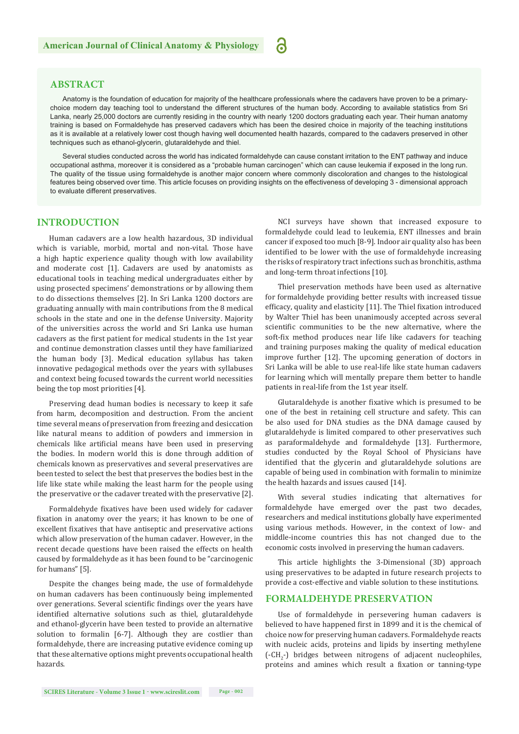a

#### **ABSTRACT**

Anatomy is the foundation of education for majority of the healthcare professionals where the cadavers have proven to be a primarychoice modern day teaching tool to understand the different structures of the human body. According to available statistics from Sri Lanka, nearly 25,000 doctors are currently residing in the country with nearly 1200 doctors graduating each year. Their human anatomy training is based on Formaldehyde has preserved cadavers which has been the desired choice in majority of the teaching institutions as it is available at a relatively lower cost though having well documented health hazards, compared to the cadavers preserved in other techniques such as ethanol-glycerin, glutaraldehyde and thiel.

Several studies conducted across the world has indicated formaldehyde can cause constant irritation to the ENT pathway and induce occupational asthma, moreover it is considered as a "probable human carcinogen" which can cause leukemia if exposed in the long run. The quality of the tissue using formaldehyde is another major concern where commonly discoloration and changes to the histological features being observed over time. This article focuses on providing insights on the effectiveness of developing 3 - dimensional approach to evaluate different preservatives.

#### **INTRODUCTION**

Human cadavers are a low health hazardous, 3D individual which is variable, morbid, mortal and non-vital. Those have a high haptic experience quality though with low availability and moderate cost [1]. Cadavers are used by anatomists as educational tools in teaching medical undergraduates either by using prosected specimens' demonstrations or by allowing them to do dissections themselves [2]. In Sri Lanka 1200 doctors are graduating annually with main contributions from the 8 medical schools in the state and one in the defense University. Majority of the universities across the world and Sri Lanka use human cadavers as the first patient for medical students in the 1st year and continue demonstration classes until they have familiarized the human body [3]. Medical education syllabus has taken innovative pedagogical methods over the years with syllabuses and context being focused towards the current world necessities being the top most priorities [4].

Preserving dead human bodies is necessary to keep it safe from harm, decomposition and destruction. From the ancient time several means of preservation from freezing and desiccation like natural means to addition of powders and immersion in chemicals like artificial means have been used in preserving the bodies. In modern world this is done through addition of chemicals known as preservatives and several preservatives are been tested to select the best that preserves the bodies best in the life like state while making the least harm for the people using the preservative or the cadaver treated with the preservative [2].

Formaldehyde fixatives have been used widely for cadaver fixation in anatomy over the years; it has known to be one of excellent fixatives that have antiseptic and preservative actions which allow preservation of the human cadaver. However, in the recent decade questions have been raised the effects on health caused by formaldehyde as it has been found to be "carcinogenic for humans" [5].

Despite the changes being made, the use of formaldehyde on human cadavers has been continuously being implemented over generations. Several scientific findings over the years have identified alternative solutions such as thiel, glutaraldehyde and ethanol-glycerin have been tested to provide an alternative solution to formalin [6-7]. Although they are costlier than formaldehyde, there are increasing putative evidence coming up that these alternative options might prevents occupational health hazards.

NCI surveys have shown that increased exposure to formaldehyde could lead to leukemia, ENT illnesses and brain cancer if exposed too much [8-9]. Indoor air quality also has been identified to be lower with the use of formaldehyde increasing the risks of respiratory tract infections such as bronchitis, asthma and long-term throat infections [10].

Thiel preservation methods have been used as alternative for formaldehyde providing better results with increased tissue efficacy, quality and elasticity [11]. The Thiel fixation introduced by Walter Thiel has been unanimously accepted across several scientific communities to be the new alternative, where the soft-fix method produces near life like cadavers for teaching and training purposes making the quality of medical education improve further [12]. The upcoming generation of doctors in Sri Lanka will be able to use real-life like state human cadavers for learning which will mentally prepare them better to handle patients in real-life from the 1st year itself.

Glutaraldehyde is another fixative which is presumed to be one of the best in retaining cell structure and safety. This can be also used for DNA studies as the DNA damage caused by glutaraldehyde is limited compared to other preservatives such as paraformaldehyde and formaldehyde [13]. Furthermore, studies conducted by the Royal School of Physicians have identified that the glycerin and glutaraldehyde solutions are capable of being used in combination with formalin to minimize the health hazards and issues caused [14].

With several studies indicating that alternatives for formaldehyde have emerged over the past two decades, researchers and medical institutions globally have experimented using various methods. However, in the context of low- and middle-income countries this has not changed due to the economic costs involved in preserving the human cadavers.

This article highlights the 3-Dimensional (3D) approach using preservatives to be adapted in future research projects to provide a cost-effective and viable solution to these institutions.

#### **FORMALDEHYDE PRESERVATION**

Use of formaldehyde in persevering human cadavers is believed to have happened first in 1899 and it is the chemical of choice now for preserving human cadavers. Formaldehyde reacts with nucleic acids, proteins and lipids by inserting methylene (-CH<sub>2</sub>-) bridges between nitrogens of adjacent nucleophiles, proteins and amines which result a fixation or tanning-type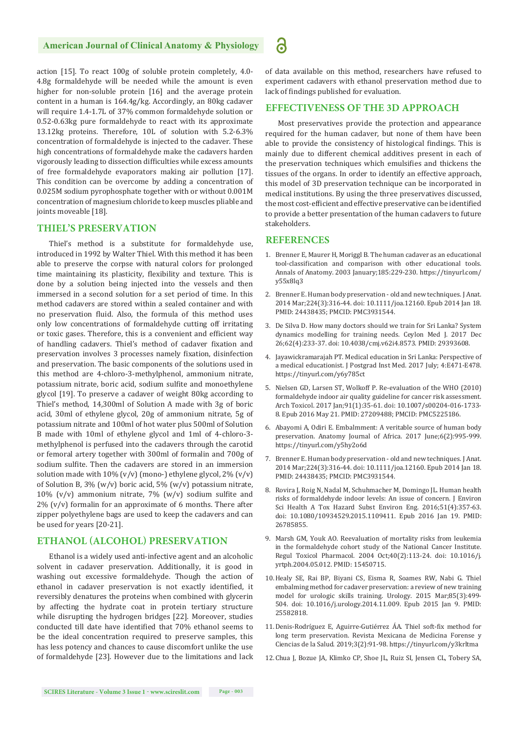#### **American Journal of Clinical Anatomy & Physiology**

action [15]. To react 100g of soluble protein completely, 4.0- 4.8g formaldehyde will be needed while the amount is even higher for non-soluble protein [16] and the average protein content in a human is 164.4g/kg. Accordingly, an 80kg cadaver will require 1.4-1.7L of 37% common formaldehyde solution or 0.52-0.63kg pure formaldehyde to react with its approximate 13.12kg proteins. Therefore, 10L of solution with 5.2-6.3% concentration of formaldehyde is injected to the cadaver. These high concentrations of formaldehyde make the cadavers harden vigorously leading to dissection difficulties while excess amounts of free formaldehyde evaporators making air pollution [17]. This condition can be overcome by adding a concentration of 0.025M sodium pyrophosphate together with or without 0.001M concentration of magnesium chloride to keep muscles pliable and joints moveable [18].

#### **THIEL'S PRESERVATION**

Thiel's method is a substitute for formaldehyde use, introduced in 1992 by Walter Thiel. With this method it has been able to preserve the corpse with natural colors for prolonged time maintaining its plasticity, flexibility and texture. This is done by a solution being injected into the vessels and then immersed in a second solution for a set period of time. In this method cadavers are stored within a sealed container and with no preservation fluid. Also, the formula of this method uses only low concentrations of formaldehyde cutting off irritating or toxic gases. Therefore, this is a convenient and efficient way of handling cadavers. Thiel's method of cadaver fixation and preservation involves 3 processes namely fixation, disinfection and preservation. The basic components of the solutions used in this method are 4-chloro-3-methylphenol, ammonium nitrate, potassium nitrate, boric acid, sodium sulfite and monoethylene glycol [19]. To preserve a cadaver of weight 80kg according to Thiel's method, 14,300ml of Solution A made with 3g of boric acid, 30ml of ethylene glycol, 20g of ammonium nitrate, 5g of potassium nitrate and 100ml of hot water plus 500ml of Solution B made with 10ml of ethylene glycol and 1ml of 4-chloro-3 methylphenol is perfused into the cadavers through the carotid or femoral artery together with 300ml of formalin and 700g of sodium sulfite. Then the cadavers are stored in an immersion solution made with  $10\%$  (v/v) (mono-) ethylene glycol, 2% (v/v) of Solution B, 3% (w/v) boric acid, 5% (w/v) potassium nitrate, 10% (v/v) ammonium nitrate, 7% (w/v) sodium sulfite and  $2\%$  (v/v) formalin for an approximate of 6 months. There after zipper polyethylene bags are used to keep the cadavers and can be used for years [20-21].

### **ETHANOL (ALCOHOL) PRESERVATION**

Ethanol is a widely used anti-infective agent and an alcoholic solvent in cadaver preservation. Additionally, it is good in washing out excessive formaldehyde. Though the action of ethanol in cadaver preservation is not exactly identified, it reversibly denatures the proteins when combined with glycerin by affecting the hydrate coat in protein tertiary structure while disrupting the hydrogen bridges [22]. Moreover, studies conducted till date have identified that 70% ethanol seems to be the ideal concentration required to preserve samples, this has less potency and chances to cause discomfort unlike the use of formaldehyde [23]. However due to the limitations and lack of data available on this method, researchers have refused to experiment cadavers with ethanol preservation method due to lack of findings published for evaluation.

#### **EFFECTIVENESS OF THE 3D APPROACH**

Most preservatives provide the protection and appearance required for the human cadaver, but none of them have been able to provide the consistency of histological findings. This is mainly due to different chemical additives present in each of the preservation techniques which emulsifies and thickens the tissues of the organs. In order to identify an effective approach, this model of 3D preservation technique can be incorporated in medical institutions. By using the three preservatives discussed, the most cost-efficient and effective preservative can be identified to provide a better presentation of the human cadavers to future stakeholders.

#### **REFERENCES**

- 1. Brenner E, Maurer H, Moriggl B. The human cadaver as an educational tool-classification and comparison with other educational tools. Annals of Anatomy. 2003 January;185:229-230. https://tinyurl.com/ y55x8lq3
- 2. Brenner E. Human body preservation old and new techniques. J Anat. 2014 Mar;224(3):316-44. doi: 10.1111/joa.12160. Epub 2014 Jan 18. PMID: 24438435; PMCID: PMC3931544.
- 3. De Silva D. How many doctors should we train for Sri Lanka? System dynamics modelling for training needs. Ceylon Med J. 2017 Dec 26;62(4):233-37. doi: 10.4038/cmj.v62i4.8573. PMID: 29393608.
- 4. Jayawickramarajah PT. Medical education in Sri Lanka: Perspective of a medical educationist. J Postgrad Inst Med. 2017 July; 4:E471-E478. https://tinyurl.com/y6y785ct
- 5. Nielsen GD, Larsen ST, Wolkoff P. Re-evaluation of the WHO (2010) formaldehyde indoor air quality guideline for cancer risk assessment. Arch Toxicol. 2017 Jan;91(1):35-61. doi: 10.1007/s00204-016-1733- 8. Epub 2016 May 21. PMID: 27209488; PMCID: PMC5225186.
- 6. Abayomi A, Odiri E. Embalmment: A veritable source of human body preservation. Anatomy Journal of Africa. 2017 June;6(2):995-999. https://tinyurl.com/y5hy2o6d
- 7. Brenner E. Human body preservation old and new techniques. J Anat. 2014 Mar;224(3):316-44. doi: 10.1111/joa.12160. Epub 2014 Jan 18. PMID: 24438435; PMCID: PMC3931544.
- 8. Rovira J, Roig N, Nadal M, Schuhmacher M, Domingo JL. Human health risks of formaldehyde indoor levels: An issue of concern. J Environ Sci Health A Tox Hazard Subst Environ Eng. 2016;51(4):357-63. doi: 10.1080/10934529.2015.1109411. Epub 2016 Jan 19. PMID: 26785855.
- 9. Marsh GM, Youk AO. Reevaluation of mortality risks from leukemia in the formaldehyde cohort study of the National Cancer Institute. Regul Toxicol Pharmacol. 2004 Oct;40(2):113-24. doi: 10.1016/j. yrtph.2004.05.012. PMID: 15450715.
- 10. Healy SE, Rai BP, Biyani CS, Eisma R, Soames RW, Nabi G. Thiel embalming method for cadaver preservation: a review of new training model for urologic skills training. Urology. 2015 Mar;85(3):499- 504. doi: 10.1016/j.urology.2014.11.009. Epub 2015 Jan 9. PMID: 25582818.
- 11. Denis-Rodríguez E, Aguirre-Gutiérrez ÁA. Thiel soft-fix method for long term preservation. Revista Mexicana de Medicina Forense y Ciencias de la Salud. 2019;3(2):91-98. https://tinyurl.com/y3krltma
- 12. Chua J, Bozue JA, Klimko CP, Shoe JL, Ruiz SI, Jensen CL, Tobery SA,